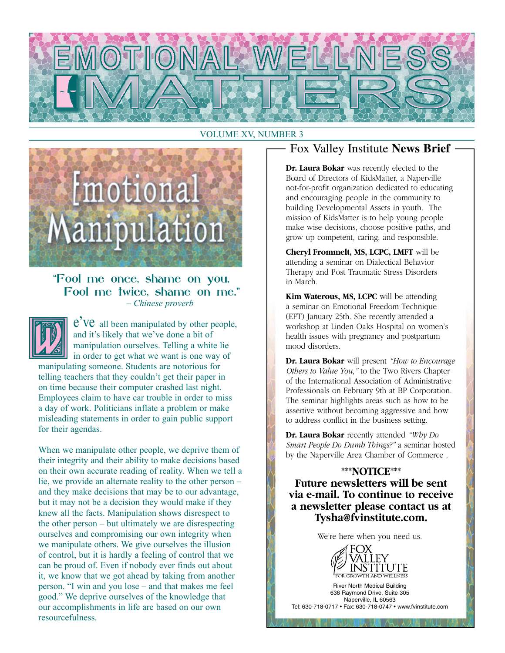

#### VOLUME XV, NUMBER 3



#### "Fool me once, shame on you. Fool me twice, shame on me."– *Chinese proverb*



e'Ve all been manipulated by other people, and it's likely that we've done a bit of manipulation ourselves. Telling a white lie in order to get what we want is one way of

manipulating someone. Students are notorious for telling teachers that they couldn't get their paper in on time because their computer crashed last night. Employees claim to have car trouble in order to miss a day of work. Politicians inflate a problem or make misleading statements in order to gain public support for their agendas.

When we manipulate other people, we deprive them of their integrity and their ability to make decisions based on their own accurate reading of reality. When we tell a lie, we provide an alternate reality to the other person – and they make decisions that may be to our advantage, but it may not be a decision they would make if they knew all the facts. Manipulation shows disrespect to the other person – but ultimately we are disrespecting ourselves and compromising our own integrity when we manipulate others. We give ourselves the illusion of control, but it is hardly a feeling of control that we can be proud of. Even if nobody ever finds out about it, we know that we got ahead by taking from another person. "I win and you lose – and that makes me feel good." We deprive ourselves of the knowledge that our accomplishments in life are based on our own resourcefulness.

#### Fox Valley Institute **News Brief**

**Dr. Laura Bokar** was recently elected to the Board of Directors of KidsMatter, a Naperville not-for-profit organization dedicated to educating and encouraging people in the community to building Developmental Assets in youth. The mission of KidsMatter is to help young people make wise decisions, choose positive paths, and grow up competent, caring, and responsible.

**Cheryl Frommelt, MS, LCPC, LMFT** will be attending a seminar on Dialectical Behavior Therapy and Post Traumatic Stress Disorders in March.

**Kim Waterous, MS, LCPC** will be attending a seminar on Emotional Freedom Technique (EFT) January 25th. She recently attended a workshop at Linden Oaks Hospital on women's health issues with pregnancy and postpartum mood disorders.

**Dr. Laura Bokar** will present *"How to Encourage Others to Value You,"* to the Two Rivers Chapter of the International Association of Administrative Professionals on February 9th at BP Corporation. The seminar highlights areas such as how to be assertive without becoming aggressive and how to address conflict in the business setting.

**Dr. Laura Bokar** recently attended *"Why Do Smart People Do Dumb Things?"* a seminar hosted by the Naperville Area Chamber of Commerce .

**\*\*\*NOTICE\*\*\* Future newsletters will be sent via e-mail. To continue to receive a newsletter please contact us at Tysha@fvinstitute.com.**

We're here when you need us.



River North Medical Building 636 Raymond Drive, Suite 305 Naperville, IL 60563 Tel: 630-718-0717 • Fax: 630-718-0747 • www.fvinstitute.com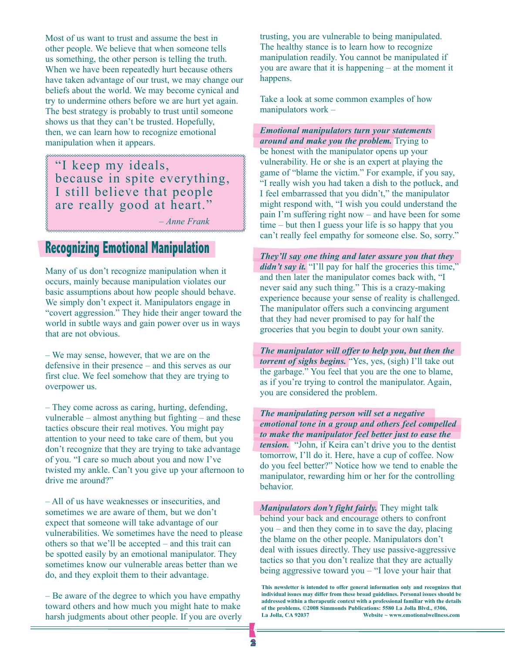Most of us want to trust and assume the best in other people. We believe that when someone tells us something, the other person is telling the truth. When we have been repeatedly hurt because others have taken advantage of our trust, we may change our beliefs about the world. We may become cynical and try to undermine others before we are hurt yet again. The best strategy is probably to trust until someone shows us that they can't be trusted. Hopefully, then, we can learn how to recognize emotional manipulation when it appears.

"I keep my ideals, because in spite everything, I still believe that people are really good at heart."

– *Anne Frank*

## **Recognizing Emotional Manipulation**

Many of us don't recognize manipulation when it occurs, mainly because manipulation violates our basic assumptions about how people should behave. We simply don't expect it. Manipulators engage in "covert aggression." They hide their anger toward the world in subtle ways and gain power over us in ways that are not obvious.

– We may sense, however, that we are on the defensive in their presence – and this serves as our first clue. We feel somehow that they are trying to overpower us.

– They come across as caring, hurting, defending, vulnerable – almost anything but fighting – and these tactics obscure their real motives. You might pay attention to your need to take care of them, but you don't recognize that they are trying to take advantage of you. "I care so much about you and now I've twisted my ankle. Can't you give up your afternoon to drive me around?"

– All of us have weaknesses or insecurities, and sometimes we are aware of them, but we don't expect that someone will take advantage of our vulnerabilities. We sometimes have the need to please others so that we'll be accepted – and this trait can be spotted easily by an emotional manipulator. They sometimes know our vulnerable areas better than we do, and they exploit them to their advantage.

– Be aware of the degree to which you have empathy toward others and how much you might hate to make harsh judgments about other people. If you are overly trusting, you are vulnerable to being manipulated. The healthy stance is to learn how to recognize manipulation readily. You cannot be manipulated if you are aware that it is happening – at the moment it happens.

Take a look at some common examples of how manipulators work –

*Emotional manipulators turn your statements around and make you the problem.* Trying to be honest with the manipulator opens up your vulnerability. He or she is an expert at playing the game of "blame the victim." For example, if you say, "I really wish you had taken a dish to the potluck, and I feel embarrassed that you didn't," the manipulator might respond with, "I wish you could understand the pain I'm suffering right now – and have been for some time – but then I guess your life is so happy that you can't really feel empathy for someone else. So, sorry."

*They'll say one thing and later assure you that they didn't say it.* "I'll pay for half the groceries this time," and then later the manipulator comes back with, "I never said any such thing." This is a crazy-making experience because your sense of reality is challenged. The manipulator offers such a convincing argument that they had never promised to pay for half the groceries that you begin to doubt your own sanity.

*The manipulator will offer to help you, but then the torrent of sighs begins.* "Yes, yes, (sigh) I'll take out the garbage." You feel that you are the one to blame, as if you're trying to control the manipulator. Again, you are considered the problem.

*The manipulating person will set a negative emotional tone in a group and others feel compelled to make the manipulator feel better just to ease the tension.* "John, if Keira can't drive you to the dentist tomorrow, I'll do it. Here, have a cup of coffee. Now do you feel better?" Notice how we tend to enable the manipulator, rewarding him or her for the controlling behavior.

*Manipulators don't fight fairly.* They might talk behind your back and encourage others to confront you – and then they come in to save the day, placing the blame on the other people. Manipulators don't deal with issues directly. They use passive-aggressive tactics so that you don't realize that they are actually being aggressive toward you – "I love your hair that

**This newsletter is intended to offer general information only and recognizes that individual issues may differ from these broad guidelines. Personal issues should be addressed within a therapeutic context with a professional familiar with the details of the problems. ©2008 Simmonds Publications: 5580 La Jolla Blvd., #306, La Jolla, CA 92037 Website ~ www.emotionalwellness.com**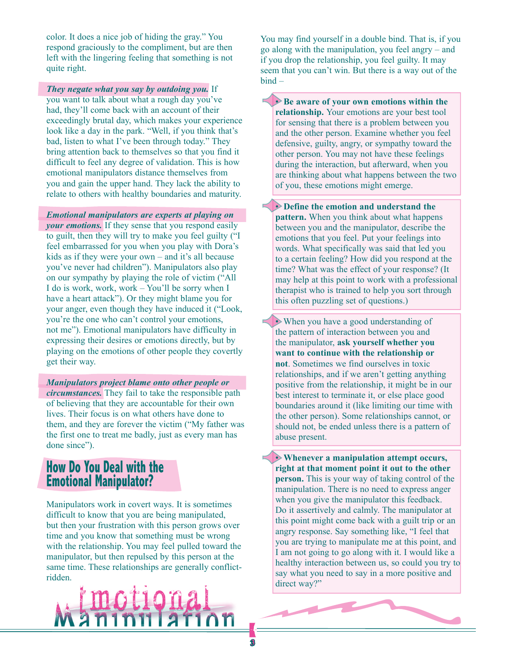color. It does a nice job of hiding the gray." You respond graciously to the compliment, but are then left with the lingering feeling that something is not quite right.

*They negate what you say by outdoing you.* If you want to talk about what a rough day you've had, they'll come back with an account of their exceedingly brutal day, which makes your experience look like a day in the park. "Well, if you think that's bad, listen to what I've been through today." They bring attention back to themselves so that you find it difficult to feel any degree of validation. This is how emotional manipulators distance themselves from you and gain the upper hand. They lack the ability to relate to others with healthy boundaries and maturity.

*Emotional manipulators are experts at playing on your emotions.* If they sense that you respond easily to guilt, then they will try to make you feel guilty ("I feel embarrassed for you when you play with Dora's kids as if they were your own – and it's all because you've never had children"). Manipulators also play on our sympathy by playing the role of victim ("All I do is work, work, work – You'll be sorry when I have a heart attack"). Or they might blame you for your anger, even though they have induced it ("Look, you're the one who can't control your emotions, not me"). Emotional manipulators have difficulty in expressing their desires or emotions directly, but by playing on the emotions of other people they covertly get their way.

*Manipulators project blame onto other people or circumstances.* They fail to take the responsible path of believing that they are accountable for their own lives. Their focus is on what others have done to them, and they are forever the victim ("My father was the first one to treat me badly, just as every man has done since").

### **How Do You Deal with the Emotional Manipulator?**

Manipulators work in covert ways. It is sometimes difficult to know that you are being manipulated, but then your frustration with this person grows over time and you know that something must be wrong with the relationship. You may feel pulled toward the manipulator, but then repulsed by this person at the same time. These relationships are generally conflictridden.



You may find yourself in a double bind. That is, if you go along with the manipulation, you feel angry – and if you drop the relationship, you feel guilty. It may seem that you can't win. But there is a way out of the bind –

**• Be aware of your own emotions within the relationship.** Your emotions are your best tool for sensing that there is a problem between you and the other person. Examine whether you feel defensive, guilty, angry, or sympathy toward the other person. You may not have these feelings during the interaction, but afterward, when you are thinking about what happens between the two of you, these emotions might emerge.

• **Define the emotion and understand the pattern.** When you think about what happens between you and the manipulator, describe the emotions that you feel. Put your feelings into words. What specifically was said that led you to a certain feeling? How did you respond at the time? What was the effect of your response? (It may help at this point to work with a professional therapist who is trained to help you sort through this often puzzling set of questions.)

• When you have a good understanding of the pattern of interaction between you and the manipulator, **ask yourself whether you want to continue with the relationship or not**. Sometimes we find ourselves in toxic relationships, and if we aren't getting anything positive from the relationship, it might be in our best interest to terminate it, or else place good boundaries around it (like limiting our time with the other person). Some relationships cannot, or should not, be ended unless there is a pattern of abuse present.

• **Whenever a manipulation attempt occurs, right at that moment point it out to the other person.** This is your way of taking control of the manipulation. There is no need to express anger when you give the manipulator this feedback. Do it assertively and calmly. The manipulator at this point might come back with a guilt trip or an angry response. Say something like, "I feel that you are trying to manipulate me at this point, and I am not going to go along with it. I would like a healthy interaction between us, so could you try to say what you need to say in a more positive and direct way?"